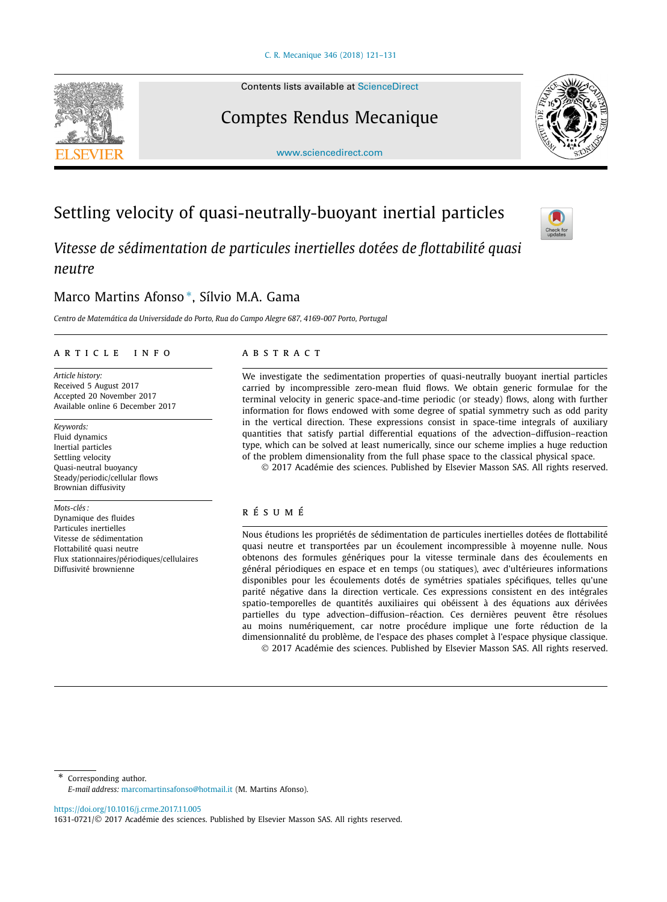Contents lists available at [ScienceDirect](http://www.ScienceDirect.com/)

# Comptes Rendus Mecanique

[www.sciencedirect.com](http://www.sciencedirect.com)

*Vitesse de sédimentation de particules inertielles dotées de flottabilité quasi neutre*

## Marco Martins Afonso <sup>∗</sup>, Sílvio M.A. Gama

*Centro de Matemática da Universidade do Porto, Rua do Campo Alegre 687, 4169-007 Porto, Portugal*

### A R T I C L E I N F O A B S T R A C T

*Article history:* Received 5 August 2017 Accepted 20 November 2017 Available online 6 December 2017

*Keywords:* Fluid dynamics Inertial particles Settling velocity Quasi-neutral buoyancy Steady/periodic/cellular flows Brownian diffusivity

*Mots-clés :* Dynamique des fluides Particules inertielles Vitesse de sédimentation Flottabilité quasi neutre Flux stationnaires/périodiques/cellulaires Diffusivité brownienne

We investigate the sedimentation properties of quasi-neutrally buoyant inertial particles carried by incompressible zero-mean fluid flows. We obtain generic formulae for the terminal velocity in generic space-and-time periodic (or steady) flows, along with further information for flows endowed with some degree of spatial symmetry such as odd parity in the vertical direction. These expressions consist in space-time integrals of auxiliary quantities that satisfy partial differential equations of the advection–diffusion–reaction type, which can be solved at least numerically, since our scheme implies a huge reduction of the problem dimensionality from the full phase space to the classical physical space.

© 2017 Académie des sciences. Published by Elsevier Masson SAS. All rights reserved.

## r é s u m é

Nous étudions les propriétés de sédimentation de particules inertielles dotées de flottabilité quasi neutre et transportées par un écoulement incompressible à moyenne nulle. Nous obtenons des formules génériques pour la vitesse terminale dans des écoulements en général périodiques en espace et en temps (ou statiques), avec d'ultérieures informations disponibles pour les écoulements dotés de symétries spatiales spécifiques, telles qu'une parité négative dans la direction verticale. Ces expressions consistent en des intégrales spatio-temporelles de quantités auxiliaires qui obéissent à des équations aux dérivées partielles du type advection–diffusion–réaction. Ces dernières peuvent être résolues au moins numériquement, car notre procédure implique une forte réduction de la dimensionnalité du problème, de l'espace des phases complet à l'espace physique classique. © 2017 Académie des sciences. Published by Elsevier Masson SAS. All rights reserved.

\* Corresponding author. *E-mail address:* [marcomartinsafonso@hotmail.it](mailto:marcomartinsafonso@hotmail.it) (M. Martins Afonso).

<https://doi.org/10.1016/j.crme.2017.11.005>

# Settling velocity of quasi-neutrally-buoyant inertial particles



<sup>1631-0721/</sup>© 2017 Académie des sciences. Published by Elsevier Masson SAS. All rights reserved.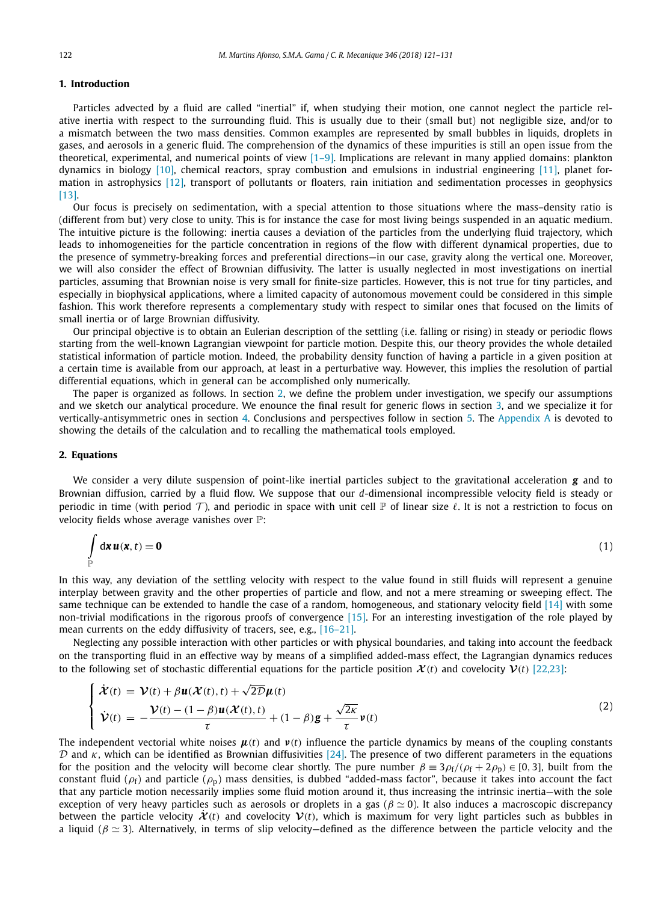#### <span id="page-1-0"></span>**1. Introduction**

Particles advected by a fluid are called "inertial" if, when studying their motion, one cannot neglect the particle relative inertia with respect to the surrounding fluid. This is usually due to their (small but) not negligible size, and/or to a mismatch between the two mass densities. Common examples are represented by small bubbles in liquids, droplets in gases, and aerosols in a generic fluid. The comprehension of the dynamics of these impurities is still an open issue from the theoretical, experimental, and numerical points of view [\[1–9\].](#page-9-0) Implications are relevant in many applied domains: plankton dynamics in biology [\[10\],](#page-9-0) chemical reactors, spray combustion and emulsions in industrial engineering [\[11\],](#page-9-0) planet formation in astrophysics [\[12\],](#page-9-0) transport of pollutants or floaters, rain initiation and sedimentation processes in geophysics [\[13\].](#page-9-0)

Our focus is precisely on sedimentation, with a special attention to those situations where the mass–density ratio is (different from but) very close to unity. This is for instance the case for most living beings suspended in an aquatic medium. The intuitive picture is the following: inertia causes a deviation of the particles from the underlying fluid trajectory, which leads to inhomogeneities for the particle concentration in regions of the flow with different dynamical properties, due to the presence of symmetry-breaking forces and preferential directions—in our case, gravity along the vertical one. Moreover, we will also consider the effect of Brownian diffusivity. The latter is usually neglected in most investigations on inertial particles, assuming that Brownian noise is very small for finite-size particles. However, this is not true for tiny particles, and especially in biophysical applications, where a limited capacity of autonomous movement could be considered in this simple fashion. This work therefore represents a complementary study with respect to similar ones that focused on the limits of small inertia or of large Brownian diffusivity.

Our principal objective is to obtain an Eulerian description of the settling (i.e. falling or rising) in steady or periodic flows starting from the well-known Lagrangian viewpoint for particle motion. Despite this, our theory provides the whole detailed statistical information of particle motion. Indeed, the probability density function of having a particle in a given position at a certain time is available from our approach, at least in a perturbative way. However, this implies the resolution of partial differential equations, which in general can be accomplished only numerically.

The paper is organized as follows. In section 2, we define the problem under investigation, we specify our assumptions and we sketch our analytical procedure. We enounce the final result for generic flows in section [3,](#page-3-0) and we specialize it for vertically-antisymmetric ones in section [4.](#page-4-0) Conclusions and perspectives follow in section [5.](#page-5-0) The [Appendix A](#page-5-0) is devoted to showing the details of the calculation and to recalling the mathematical tools employed.

#### **2. Equations**

We consider a very dilute suspension of point-like inertial particles subject to the gravitational acceleration *g* and to Brownian diffusion, carried by a fluid flow. We suppose that our *d*-dimensional incompressible velocity field is steady or periodic in time (with period  $\mathcal T$ ), and periodic in space with unit cell  $\mathbb P$  of linear size  $\ell$ . It is not a restriction to focus on velocity fields whose average vanishes over P:

$$
\int_{\mathbb{P}} d\mathbf{x} \, \mathbf{u}(\mathbf{x},t) = \mathbf{0} \tag{1}
$$

In this way, any deviation of the settling velocity with respect to the value found in still fluids will represent a genuine interplay between gravity and the other properties of particle and flow, and not a mere streaming or sweeping effect. The same technique can be extended to handle the case of a random, homogeneous, and stationary velocity field [\[14\]](#page-9-0) with some non-trivial modifications in the rigorous proofs of convergence [\[15\].](#page-9-0) For an interesting investigation of the role played by mean currents on the eddy diffusivity of tracers, see, e.g., [\[16–21\].](#page-9-0)

Neglecting any possible interaction with other particles or with physical boundaries, and taking into account the feedback on the transporting fluid in an effective way by means of a simplified added-mass effect, the Lagrangian dynamics reduces to the following set of stochastic differential equations for the particle position  $\mathcal{X}(t)$  and covelocity  $\mathcal{V}(t)$  [\[22,23\]:](#page-9-0)

$$
\begin{cases}\n\dot{\mathcal{X}}(t) = \mathcal{V}(t) + \beta \mathbf{u}(\mathcal{X}(t), t) + \sqrt{2D}\mu(t) \\
\dot{\mathcal{V}}(t) = -\frac{\mathcal{V}(t) - (1 - \beta)\mathbf{u}(\mathcal{X}(t), t)}{\tau} + (1 - \beta)\mathbf{g} + \frac{\sqrt{2\kappa}}{\tau}\mathbf{v}(t)\n\end{cases}
$$
\n(2)

The independent vectorial white noises  $\mu(t)$  and  $\nu(t)$  influence the particle dynamics by means of the coupling constants D and *κ*, which can be identified as Brownian diffusivities [\[24\].](#page-9-0) The presence of two different parameters in the equations for the position and the velocity will become clear shortly. The pure number  $\beta = 3\rho_f/(\rho_f + 2\rho_p) \in [0, 3]$ , built from the constant fluid ( $\rho_f$ ) and particle ( $\rho_p$ ) mass densities, is dubbed "added-mass factor", because it takes into account the fact that any particle motion necessarily implies some fluid motion around it, thus increasing the intrinsic inertia—with the sole exception of very heavy particles such as aerosols or droplets in a gas ( $\beta \simeq 0$ ). It also induces a macroscopic discrepancy between the particle velocity  $\dot{\mathcal{X}}(t)$  and covelocity  $\mathcal{V}(t)$ , which is maximum for very light particles such as bubbles in a liquid ( $\beta \simeq 3$ ). Alternatively, in terms of slip velocity—defined as the difference between the particle velocity and the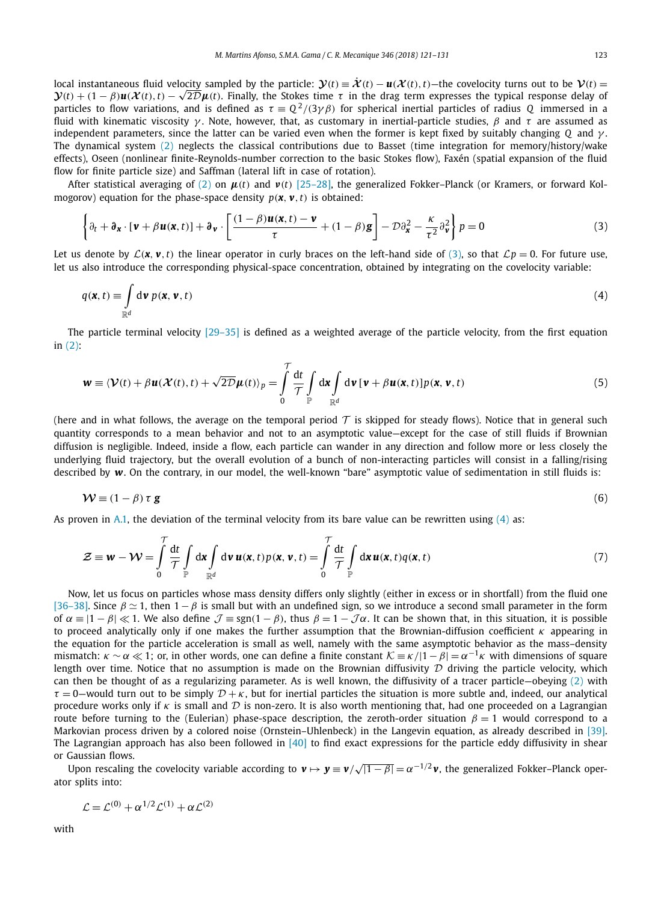<span id="page-2-0"></span>local instantaneous fluid velocity sampled by the particle:  $\mathbf{\hat{y}}(t) = \dot{\mathbf{\hat{x}}}(t) - \mathbf{u}(\mathbf{\hat{x}}(t), t)$ —the covelocity turns out to be  $\mathbf{\hat{v}}(t)$  =  ${\bf V}(t)$  + (1 – β) ${\bf u}({\bf X}(t),t) - \sqrt{2D}{\bf \mu}(t)$ . Finally, the Stokes time τ in the drag term expresses the typical response delay of particles to flow variations, and is defined as  $\tau = Q^2/(3\gamma\beta)$  for spherical inertial particles of radius *Q* immersed in a fluid with kinematic viscosity *γ* . Note, however, that, as customary in inertial-particle studies, *β* and *τ* are assumed as independent parameters, since the latter can be varied even when the former is kept fixed by suitably changing *Q* and *γ* . The dynamical system [\(2\)](#page-1-0) neglects the classical contributions due to Basset (time integration for memory/history/wake effects), Oseen (nonlinear finite-Reynolds-number correction to the basic Stokes flow), Faxén (spatial expansion of the fluid flow for finite particle size) and Saffman (lateral lift in case of rotation).

After statistical averaging of [\(2\)](#page-1-0) on  $\mu$ (*t*) and  $\nu$ (*t*) [\[25–28\],](#page-9-0) the generalized Fokker–Planck (or Kramers, or forward Kolmogorov) equation for the phase-space density  $p(\mathbf{x}, \mathbf{v}, t)$  is obtained:

$$
\left\{\partial_t + \partial_{\mathbf{x}} \cdot \left[\mathbf{v} + \beta \mathbf{u}(\mathbf{x}, t)\right] + \partial_{\mathbf{v}} \cdot \left[\frac{(1-\beta)\mathbf{u}(\mathbf{x}, t) - \mathbf{v}}{\tau} + (1-\beta)\mathbf{g}\right] - \mathcal{D}\partial_{\mathbf{x}}^2 - \frac{\kappa}{\tau^2}\partial_{\mathbf{v}}^2\right\} p = 0\tag{3}
$$

Let us denote by  $\mathcal{L}(\mathbf{x}, \mathbf{v}, t)$  the linear operator in curly braces on the left-hand side of (3), so that  $\mathcal{L}p = 0$ . For future use, let us also introduce the corresponding physical-space concentration, obtained by integrating on the covelocity variable:

$$
q(\mathbf{x},t) \equiv \int_{\mathbb{R}^d} \mathrm{d}\mathbf{v} \ p(\mathbf{x},\mathbf{v},t) \tag{4}
$$

The particle terminal velocity  $[29-35]$  is defined as a weighted average of the particle velocity, from the first equation in [\(2\):](#page-1-0)

$$
\mathbf{w} \equiv \langle \mathbf{\mathcal{V}}(t) + \beta \mathbf{u}(\mathbf{\mathcal{X}}(t), t) + \sqrt{2\mathcal{D}}\mathbf{\mu}(t) \rangle_p = \int_0^{\mathcal{T}} \frac{dt}{\mathcal{T}} \int_{\mathbb{P}} d\mathbf{x} \int_{\mathbb{R}^d} d\mathbf{v} \left[ \mathbf{v} + \beta \mathbf{u}(\mathbf{x}, t) \right] p(\mathbf{x}, \mathbf{v}, t)
$$
(5)

(here and in what follows, the average on the temporal period  $T$  is skipped for steady flows). Notice that in general such quantity corresponds to a mean behavior and not to an asymptotic value—except for the case of still fluids if Brownian diffusion is negligible. Indeed, inside a flow, each particle can wander in any direction and follow more or less closely the underlying fluid trajectory, but the overall evolution of a bunch of non-interacting particles will consist in a falling/rising described by *w*. On the contrary, in our model, the well-known "bare" asymptotic value of sedimentation in still fluids is:

$$
\mathcal{W} \equiv (1 - \beta) \tau \mathbf{g} \tag{6}
$$

As proven in [A.1,](#page-8-0) the deviation of the terminal velocity from its bare value can be rewritten using  $(4)$  as:

$$
\mathcal{Z} \equiv \mathbf{w} - \mathcal{W} = \int_{0}^{T} \frac{dt}{\mathcal{T}} \int_{\mathbb{P}} d\mathbf{x} \int_{\mathbb{R}^d} d\mathbf{v} \, \mathbf{u}(\mathbf{x}, t) p(\mathbf{x}, \mathbf{v}, t) = \int_{0}^{T} \frac{dt}{\mathcal{T}} \int_{\mathbb{P}} d\mathbf{x} \, \mathbf{u}(\mathbf{x}, t) q(\mathbf{x}, t)
$$
(7)

Now, let us focus on particles whose mass density differs only slightly (either in excess or in shortfall) from the fluid one [\[36–38\].](#page-10-0) Since  $\beta \simeq 1$ , then  $1-\beta$  is small but with an undefined sign, so we introduce a second small parameter in the form of  $\alpha \equiv |1 - \beta| \ll 1$ . We also define  $\mathcal{J} \equiv \text{sgn}(1 - \beta)$ , thus  $\beta = 1 - \mathcal{J}\alpha$ . It can be shown that, in this situation, it is possible to proceed analytically only if one makes the further assumption that the Brownian-diffusion coefficient *κ* appearing in the equation for the particle acceleration is small as well, namely with the same asymptotic behavior as the mass–density mismatch:  $\kappa \sim \alpha \ll 1$ ; or, in other words, one can define a finite constant  $\mathcal{K} \equiv \kappa / |1 - \beta| = \alpha^{-1} \kappa$  with dimensions of square length over time. Notice that no assumption is made on the Brownian diffusivity  $D$  driving the particle velocity, which can then be thought of as a regularizing parameter. As is well known, the diffusivity of a tracer particle—obeying  $(2)$  with  $\tau = 0$ —would turn out to be simply  $\mathcal{D} + \kappa$ , but for inertial particles the situation is more subtle and, indeed, our analytical procedure works only if  $\kappa$  is small and  $\mathcal D$  is non-zero. It is also worth mentioning that, had one proceeded on a Lagrangian route before turning to the (Eulerian) phase-space description, the zeroth-order situation  $β = 1$  would correspond to a Markovian process driven by a colored noise (Ornstein–Uhlenbeck) in the Langevin equation, as already described in [\[39\].](#page-10-0) The Lagrangian approach has also been followed in  $[40]$  to find exact expressions for the particle eddy diffusivity in shear or Gaussian flows.

Upon rescaling the covelocity variable according to *v* → *y* ≡ *v/* √|<sup>1</sup> <sup>−</sup> *<sup>β</sup>*| = *<sup>α</sup>*<sup>−</sup>1*/*<sup>2</sup> *<sup>v</sup>*, the generalized Fokker–Planck operator splits into:

$$
\mathcal{L} = \mathcal{L}^{(0)} + \alpha^{1/2} \mathcal{L}^{(1)} + \alpha \mathcal{L}^{(2)}
$$

with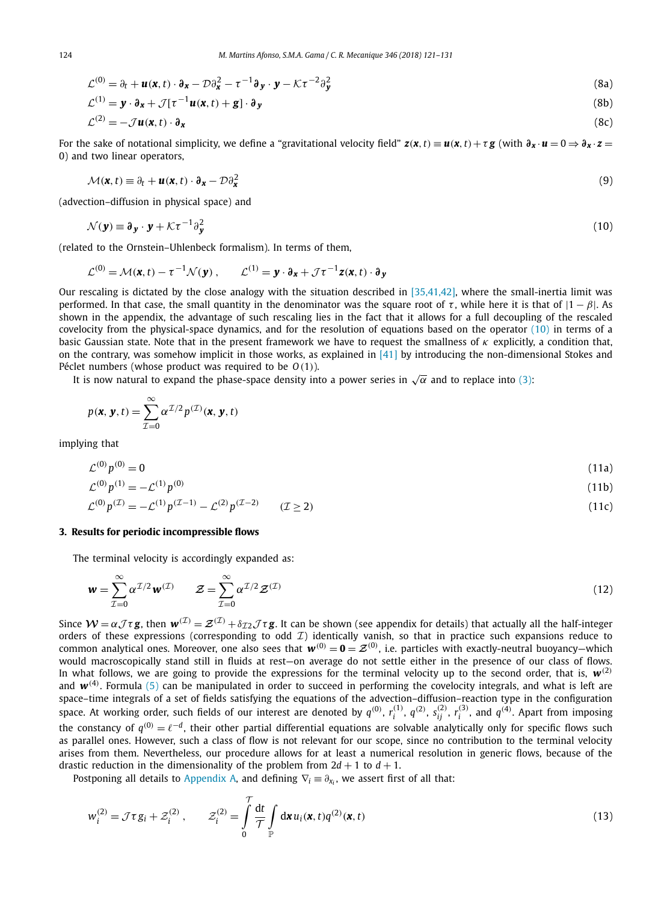<span id="page-3-0"></span>
$$
\mathcal{L}^{(0)} = \partial_t + \mathbf{u}(\mathbf{x}, t) \cdot \partial_{\mathbf{x}} - \mathcal{D}\partial_{\mathbf{x}}^2 - \tau^{-1}\partial_{\mathbf{y}} \cdot \mathbf{y} - \mathcal{K}\tau^{-2}\partial_{\mathbf{y}}^2
$$
\n(8a)

$$
\mathcal{L}^{(1)} = \mathbf{y} \cdot \partial_{\mathbf{x}} + \mathcal{J}[\tau^{-1} \mathbf{u}(\mathbf{x}, t) + \mathbf{g}] \cdot \partial_{\mathbf{y}} \tag{8b}
$$

$$
\mathcal{L}^{(2)} = -\mathcal{J}\mathbf{u}(\mathbf{x},t) \cdot \partial_{\mathbf{x}} \tag{8c}
$$

For the sake of notational simplicity, we define a "gravitational velocity field"  $z(x, t) = u(x, t) + \tau g$  (with  $\partial_x \cdot u = 0 \Rightarrow \partial_x \cdot z = 0$ 0) and two linear operators,

$$
\mathcal{M}(\mathbf{x},t) \equiv \partial_t + \mathbf{u}(\mathbf{x},t) \cdot \partial_{\mathbf{x}} - \mathcal{D} \partial_{\mathbf{x}}^2 \tag{9}
$$

(advection–diffusion in physical space) and

$$
\mathcal{N}(\mathbf{y}) \equiv \partial_{\mathbf{y}} \cdot \mathbf{y} + \mathcal{K} \tau^{-1} \partial_{\mathbf{y}}^2 \tag{10}
$$

(related to the Ornstein–Uhlenbeck formalism). In terms of them,

$$
\mathcal{L}^{(0)} = \mathcal{M}(\mathbf{x}, t) - \tau^{-1} \mathcal{N}(\mathbf{y}), \qquad \mathcal{L}^{(1)} = \mathbf{y} \cdot \mathbf{\partial}_{\mathbf{x}} + \mathcal{J} \tau^{-1} \mathbf{z}(\mathbf{x}, t) \cdot \mathbf{\partial}_{\mathbf{y}}
$$

Our rescaling is dictated by the close analogy with the situation described in  $[35,41,42]$ , where the small-inertia limit was performed. In that case, the small quantity in the denominator was the square root of  $\tau$ , while here it is that of  $|1 - \beta|$ . As shown in the appendix, the advantage of such rescaling lies in the fact that it allows for a full decoupling of the rescaled covelocity from the physical-space dynamics, and for the resolution of equations based on the operator (10) in terms of a basic Gaussian state. Note that in the present framework we have to request the smallness of *κ* explicitly, a condition that, on the contrary, was somehow implicit in those works, as explained in [\[41\]](#page-10-0) by introducing the non-dimensional Stokes and Péclet numbers (whose product was required to be *O(*1*)*).

It is now natural to expand the phase-space density into a power series in  $\sqrt{\alpha}$  and to replace into [\(3\):](#page-2-0)

$$
p(\mathbf{x}, \mathbf{y}, t) = \sum_{\mathcal{I}=0}^{\infty} \alpha^{\mathcal{I}/2} p^{(\mathcal{I})}(\mathbf{x}, \mathbf{y}, t)
$$

implying that

$$
\mathcal{L}^{(0)} p^{(0)} = 0 \tag{11a}
$$

$$
\mathcal{L}^{(0)} p^{(1)} = -\mathcal{L}^{(1)} p^{(0)} \tag{11b}
$$
\n
$$
\mathcal{L}^{(0)} p^{(\mathcal{I})} = -\mathcal{L}^{(1)} p^{(\mathcal{I}-1)} - \mathcal{L}^{(2)} p^{(\mathcal{I}-2)} \tag{12c}
$$

#### **3. Results for periodic incompressible flows**

The terminal velocity is accordingly expanded as:

$$
\mathbf{w} = \sum_{\mathcal{I}=0}^{\infty} \alpha^{\mathcal{I}/2} \mathbf{w}^{(\mathcal{I})} \qquad \mathcal{Z} = \sum_{\mathcal{I}=0}^{\infty} \alpha^{\mathcal{I}/2} \mathcal{Z}^{(\mathcal{I})} \tag{12}
$$

Since  $W = \alpha \mathcal{J} \tau g$ , then  $w^{(\mathcal{I})} = \mathcal{Z}^{(\mathcal{I})} + \delta_{\mathcal{I}2} \mathcal{J} \tau g$ . It can be shown (see appendix for details) that actually all the half-integer orders of these expressions (corresponding to odd  $\mathcal{I}$ ) identically vanish, so that in practice such expansions reduce to common analytical ones. Moreover, one also sees that  $w^{(0)} = \mathbf{0} = \mathcal{Z}^{(0)}$ , i.e. particles with exactly-neutral buoyancy—which would macroscopically stand still in fluids at rest—on average do not settle either in the presence of our class of flows. In what follows, we are going to provide the expressions for the terminal velocity up to the second order, that is,  $w^{(2)}$ and  $w^{(4)}$ . Formula [\(5\)](#page-2-0) can be manipulated in order to succeed in performing the covelocity integrals, and what is left are space–time integrals of a set of fields satisfying the equations of the advection–diffusion–reaction type in the configuration space. At working order, such fields of our interest are denoted by  $q^{(0)}$ ,  $r_i^{(1)}$ ,  $q^{(2)}$ ,  $s_{ij}^{(2)}$ ,  $r_i^{(3)}$ , and  $q^{(4)}$ . Apart from imposing the constancy of  $q^{(0)}=\ell^{-d}$ , their other partial differential equations are solvable analytically only for specific flows such as parallel ones. However, such a class of flow is not relevant for our scope, since no contribution to the terminal velocity arises from them. Nevertheless, our procedure allows for at least a numerical resolution in generic flows, because of the drastic reduction in the dimensionality of the problem from  $2d + 1$  to  $d + 1$ .

Postponing all details to [Appendix A,](#page-5-0) and defining  $\nabla_i \equiv \partial_{x_i}$ , we assert first of all that:

$$
w_i^{(2)} = \mathcal{J}\tau g_i + \mathcal{Z}_i^{(2)}, \qquad \mathcal{Z}_i^{(2)} = \int\limits_0^{\mathcal{T}} \frac{\mathrm{d}t}{\mathcal{T}} \int\limits_{\mathbb{P}} \mathrm{d}x u_i(\mathbf{x}, t) q^{(2)}(\mathbf{x}, t) \tag{13}
$$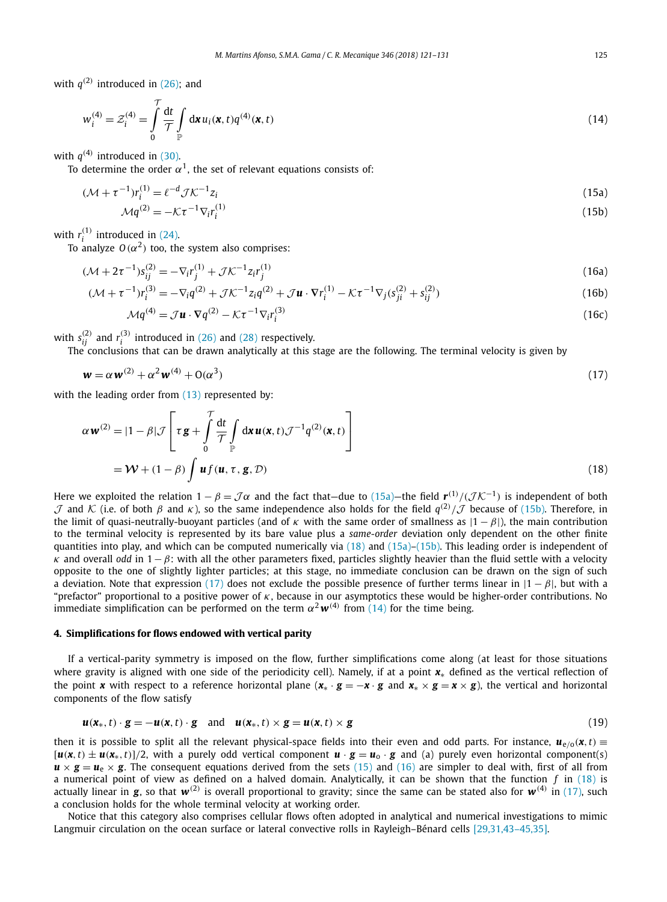<span id="page-4-0"></span>with  $q^{(2)}$  introduced in [\(26\);](#page-6-0) and

$$
w_i^{(4)} = \mathcal{Z}_i^{(4)} = \int\limits_0^{\gamma} \frac{\mathrm{d}t}{\mathcal{T}} \int\limits_{\mathbb{P}} \mathrm{d}x \, u_i(x, t) q^{(4)}(x, t) \tag{14}
$$

with  $q^{(4)}$  introduced in [\(30\).](#page-6-0)

To determine the order  $\alpha^1$ , the set of relevant equations consists of:

$$
(\mathcal{M} + \tau^{-1})r_i^{(1)} = \ell^{-d}\mathcal{J}\mathcal{K}^{-1}z_i
$$
  
\n
$$
\mathcal{M}q^{(2)} = -\mathcal{K}\tau^{-1}\nabla_i r_i^{(1)}
$$
\n(15a)

with  $r_i^{(1)}$  introduced in [\(24\).](#page-6-0)

To analyze  $O(\alpha^2)$  too, the system also comprises:

$$
(\mathcal{M} + 2\tau^{-1})s_{ij}^{(2)} = -\nabla_i r_j^{(1)} + \mathcal{J}\mathcal{K}^{-1} z_i r_j^{(1)}
$$
\n(16a)

$$
(\mathcal{M} + \tau^{-1})r_i^{(3)} = -\nabla_i q^{(2)} + \mathcal{J}\mathcal{K}^{-1}z_i q^{(2)} + \mathcal{J}\mathbf{u} \cdot \nabla r_i^{(1)} - \mathcal{K}\tau^{-1}\nabla_j (s_{ji}^{(2)} + s_{ij}^{(2)})
$$
(16b)

$$
\mathcal{M}q^{(4)} = \mathcal{J}\mathbf{u} \cdot \nabla q^{(2)} - \mathcal{K}\tau^{-1} \nabla_i r_i^{(3)}
$$
(16c)

with  $s_{ij}^{(2)}$  and  $r_i^{(3)}$  introduced in [\(26\)](#page-6-0) and [\(28\)](#page-6-0) respectively.

The conclusions that can be drawn analytically at this stage are the following. The terminal velocity is given by

$$
\mathbf{w} = \alpha \mathbf{w}^{(2)} + \alpha^2 \mathbf{w}^{(4)} + \mathbf{O}(\alpha^3)
$$
\n<sup>(17)</sup>

with the leading order from [\(13\)](#page-3-0) represented by:

$$
\alpha \mathbf{w}^{(2)} = |1 - \beta| \mathcal{J} \left[ \tau \mathbf{g} + \int_{0}^{\mathcal{T}} \frac{dt}{\mathcal{T}} \int_{\mathbb{P}} d\mathbf{x} \mathbf{u}(\mathbf{x}, t) \mathcal{J}^{-1} q^{(2)}(\mathbf{x}, t) \right]
$$

$$
= \mathcal{W} + (1 - \beta) \int \mathbf{u} f(\mathbf{u}, \tau, \mathbf{g}, \mathcal{D}) \tag{18}
$$

Here we exploited the relation  $1 - \beta = \mathcal{J}\alpha$  and the fact that—due to (15a)—the field  $\mathbf{r}^{(1)}/(\mathcal{J}\mathcal{K}^{-1})$  is independent of both  $\mathcal{J}$  and  $\mathcal{K}$  (i.e. of both *β* and *κ*), so the same independence also holds for the field  $q^{(2)}/\mathcal{J}$  because of (15b). Therefore, in the limit of quasi-neutrally-buoyant particles (and of *κ* with the same order of smallness as |1 − *β*|), the main contribution to the terminal velocity is represented by its bare value plus a *same-order* deviation only dependent on the other finite quantities into play, and which can be computed numerically via (18) and (15a)–(15b). This leading order is independent of *κ* and overall *odd* in 1−*β*: with all the other parameters fixed, particles slightly heavier than the fluid settle with a velocity opposite to the one of slightly lighter particles; at this stage, no immediate conclusion can be drawn on the sign of such a deviation. Note that expression (17) does not exclude the possible presence of further terms linear in |1 − *β*|, but with a "prefactor" proportional to a positive power of *κ*, because in our asymptotics these would be higher-order contributions. No immediate simplification can be performed on the term  $\alpha^2 w^{(4)}$  from (14) for the time being.

#### **4. Simplifications for flows endowed with vertical parity**

If a vertical-parity symmetry is imposed on the flow, further simplifications come along (at least for those situations where gravity is aligned with one side of the periodicity cell). Namely, if at a point *x*∗ defined as the vertical reflection of the point *x* with respect to a reference horizontal plane ( $x_* \cdot g = -x \cdot g$  and  $x_* \times g = x \times g$ ), the vertical and horizontal components of the flow satisfy

$$
\mathbf{u}(\mathbf{x}_{*},t)\cdot\mathbf{g}=-\mathbf{u}(\mathbf{x},t)\cdot\mathbf{g}\quad\text{and}\quad\mathbf{u}(\mathbf{x}_{*},t)\times\mathbf{g}=\mathbf{u}(\mathbf{x},t)\times\mathbf{g}\tag{19}
$$

then it is possible to split all the relevant physical-space fields into their even and odd parts. For instance,  $u_{e/0}(x,t)$  $[\mathbf{u}(\mathbf{x},t) \pm \mathbf{u}(\mathbf{x}_*,t)]/2$ , with a purely odd vertical component  $\mathbf{u} \cdot \mathbf{g} = \mathbf{u}_0 \cdot \mathbf{g}$  and (a) purely even horizontal component(s)  $u \times g = u_e \times g$ . The consequent equations derived from the sets (15) and (16) are simpler to deal with, first of all from a numerical point of view as defined on a halved domain. Analytically, it can be shown that the function *f* in (18) is actually linear in **g**, so that  $w^{(2)}$  is overall proportional to gravity; since the same can be stated also for  $w^{(4)}$  in (17), such a conclusion holds for the whole terminal velocity at working order.

Notice that this category also comprises cellular flows often adopted in analytical and numerical investigations to mimic Langmuir circulation on the ocean surface or lateral convective rolls in Rayleigh–Bénard cells [\[29,31,43–45,35\].](#page-9-0)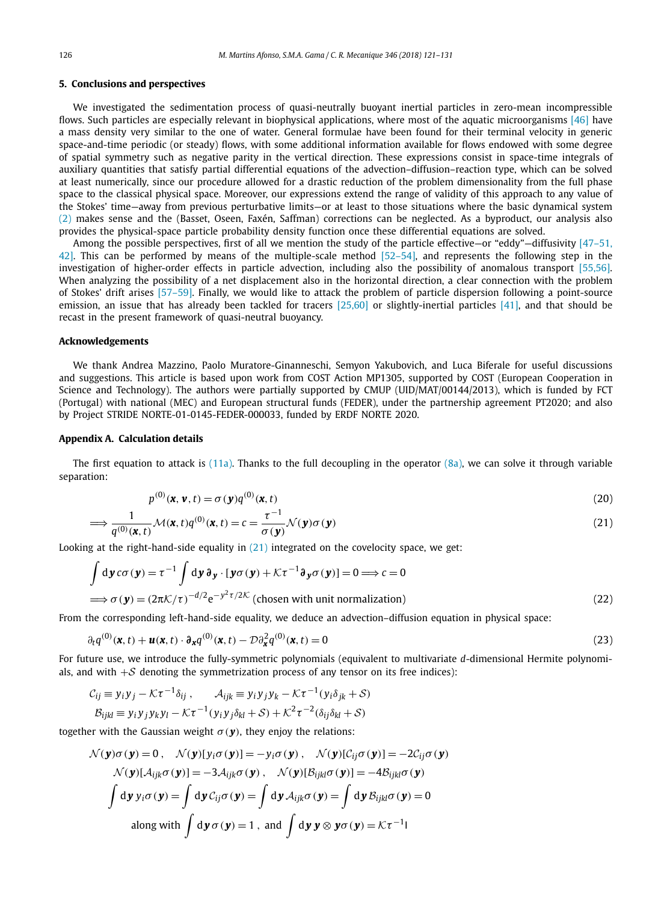#### <span id="page-5-0"></span>**5. Conclusions and perspectives**

We investigated the sedimentation process of quasi-neutrally buoyant inertial particles in zero-mean incompressible flows. Such particles are especially relevant in biophysical applications, where most of the aquatic microorganisms [\[46\]](#page-10-0) have a mass density very similar to the one of water. General formulae have been found for their terminal velocity in generic space-and-time periodic (or steady) flows, with some additional information available for flows endowed with some degree of spatial symmetry such as negative parity in the vertical direction. These expressions consist in space-time integrals of auxiliary quantities that satisfy partial differential equations of the advection–diffusion–reaction type, which can be solved at least numerically, since our procedure allowed for a drastic reduction of the problem dimensionality from the full phase space to the classical physical space. Moreover, our expressions extend the range of validity of this approach to any value of the Stokes' time—away from previous perturbative limits—or at least to those situations where the basic dynamical system [\(2\)](#page-1-0) makes sense and the (Basset, Oseen, Faxén, Saffman) corrections can be neglected. As a byproduct, our analysis also provides the physical-space particle probability density function once these differential equations are solved.

Among the possible perspectives, first of all we mention the study of the particle effective—or "eddy"—diffusivity  $[47-51, 1]$ [42\].](#page-10-0) This can be performed by means of the multiple-scale method [\[52–54\],](#page-10-0) and represents the following step in the investigation of higher-order effects in particle advection, including also the possibility of anomalous transport [\[55,56\].](#page-10-0) When analyzing the possibility of a net displacement also in the horizontal direction, a clear connection with the problem of Stokes' drift arises [\[57–59\].](#page-10-0) Finally, we would like to attack the problem of particle dispersion following a point-source emission, an issue that has already been tackled for tracers [\[25,60\]](#page-9-0) or slightly-inertial particles [\[41\],](#page-10-0) and that should be recast in the present framework of quasi-neutral buoyancy.

#### **Acknowledgements**

We thank Andrea Mazzino, Paolo Muratore-Ginanneschi, Semyon Yakubovich, and Luca Biferale for useful discussions and suggestions. This article is based upon work from COST Action MP1305, supported by COST (European Cooperation in Science and Technology). The authors were partially supported by CMUP (UID/MAT/00144/2013), which is funded by FCT (Portugal) with national (MEC) and European structural funds (FEDER), under the partnership agreement PT2020; and also by Project STRIDE NORTE-01-0145-FEDER-000033, funded by ERDF NORTE 2020.

#### **Appendix A. Calculation details**

The first equation to attack is  $(11a)$ . Thanks to the full decoupling in the operator  $(8a)$ , we can solve it through variable separation:

$$
p^{(0)}(\mathbf{x}, \mathbf{v}, t) = \sigma(\mathbf{y})q^{(0)}(\mathbf{x}, t)
$$
\n(20)

$$
\implies \frac{1}{q^{(0)}(\mathbf{x},t)} \mathcal{M}(\mathbf{x},t) q^{(0)}(\mathbf{x},t) = c = \frac{\tau^{-1}}{\sigma(\mathbf{y})} \mathcal{N}(\mathbf{y}) \sigma(\mathbf{y})
$$
\n(21)

Looking at the right-hand-side equality in (21) integrated on the covelocity space, we get:

$$
\int d\mathbf{y} c\sigma(\mathbf{y}) = \tau^{-1} \int d\mathbf{y} \,\mathbf{\partial}_{\mathbf{y}} \cdot [\mathbf{y}\sigma(\mathbf{y}) + \mathcal{K}\tau^{-1} \mathbf{\partial}_{\mathbf{y}}\sigma(\mathbf{y})] = 0 \Longrightarrow c = 0
$$
  
\n
$$
\Longrightarrow \sigma(\mathbf{y}) = (2\pi \mathcal{K}/\tau)^{-d/2} e^{-y^2 \tau/2\mathcal{K}} \text{ (chosen with unit normalization)}
$$
\n(22)

From the corresponding left-hand-side equality, we deduce an advection–diffusion equation in physical space:

$$
\partial_t q^{(0)}(\mathbf{x},t) + \mathbf{u}(\mathbf{x},t) \cdot \partial_{\mathbf{x}} q^{(0)}(\mathbf{x},t) - \mathcal{D} \partial_{\mathbf{x}}^2 q^{(0)}(\mathbf{x},t) = 0 \tag{23}
$$

For future use, we introduce the fully-symmetric polynomials (equivalent to multivariate *d*-dimensional Hermite polynomials, and with  $+\mathcal{S}$  denoting the symmetrization process of any tensor on its free indices):

$$
C_{ij} \equiv y_i y_j - \mathcal{K} \tau^{-1} \delta_{ij}, \qquad A_{ijk} \equiv y_i y_j y_k - \mathcal{K} \tau^{-1} (y_i \delta_{jk} + \mathcal{S})
$$
  

$$
B_{ijkl} \equiv y_i y_j y_k y_l - \mathcal{K} \tau^{-1} (y_i y_j \delta_{kl} + \mathcal{S}) + \mathcal{K}^2 \tau^{-2} (\delta_{ij} \delta_{kl} + \mathcal{S})
$$

together with the Gaussian weight  $\sigma(\mathbf{y})$ , they enjoy the relations:

$$
\mathcal{N}(\mathbf{y})\sigma(\mathbf{y}) = 0, \quad \mathcal{N}(\mathbf{y})[y_i\sigma(\mathbf{y})] = -y_i\sigma(\mathbf{y}), \quad \mathcal{N}(\mathbf{y})[\mathcal{C}_{ij}\sigma(\mathbf{y})] = -2\mathcal{C}_{ij}\sigma(\mathbf{y})
$$

$$
\mathcal{N}(\mathbf{y})[\mathcal{A}_{ijk}\sigma(\mathbf{y})] = -3\mathcal{A}_{ijk}\sigma(\mathbf{y}), \quad \mathcal{N}(\mathbf{y})[\mathcal{B}_{ijkl}\sigma(\mathbf{y})] = -4\mathcal{B}_{ijkl}\sigma(\mathbf{y})
$$

$$
\int d\mathbf{y} y_i\sigma(\mathbf{y}) = \int d\mathbf{y} \mathcal{C}_{ij}\sigma(\mathbf{y}) = \int d\mathbf{y} \mathcal{A}_{ijk}\sigma(\mathbf{y}) = \int d\mathbf{y} \mathcal{B}_{ijkl}\sigma(\mathbf{y}) = 0
$$
along with 
$$
\int d\mathbf{y}\sigma(\mathbf{y}) = 1, \text{ and } \int d\mathbf{y}\mathbf{y} \otimes \mathbf{y}\sigma(\mathbf{y}) = \mathcal{K}\tau^{-1}
$$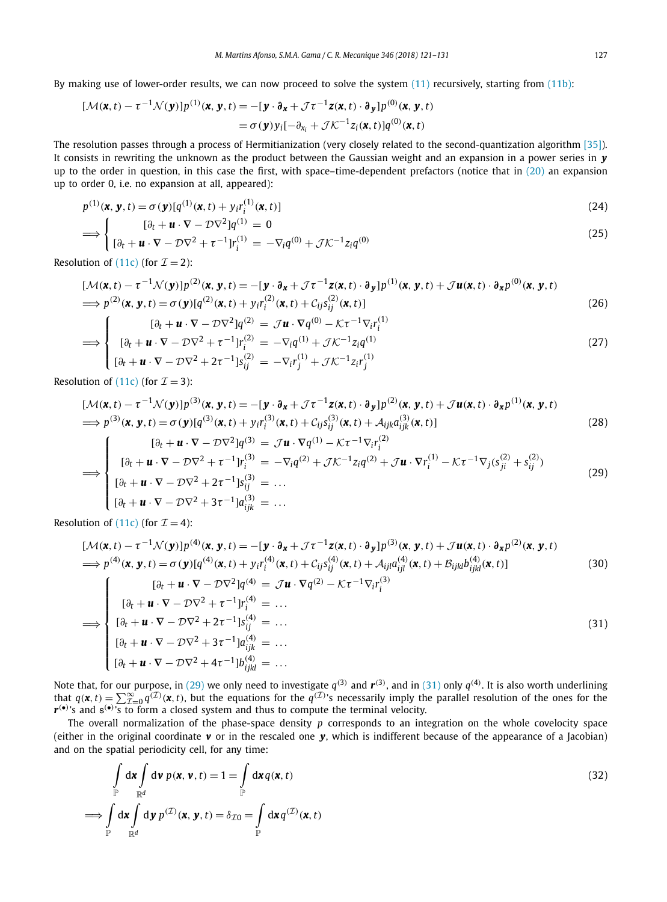<span id="page-6-0"></span>By making use of lower-order results, we can now proceed to solve the system [\(11\)](#page-3-0) recursively, starting from [\(11b\):](#page-3-0)

$$
[\mathcal{M}(\mathbf{x},t)-\tau^{-1}\mathcal{N}(\mathbf{y})]p^{(1)}(\mathbf{x},\mathbf{y},t)=-[\mathbf{y}\cdot\partial_{\mathbf{x}}+\mathcal{J}\tau^{-1}\mathbf{z}(\mathbf{x},t)\cdot\partial_{\mathbf{y}}]p^{(0)}(\mathbf{x},\mathbf{y},t)\\=\sigma(\mathbf{y})y_i[-\partial_{x_i}+\mathcal{J}\mathcal{K}^{-1}z_i(\mathbf{x},t)]q^{(0)}(\mathbf{x},t)
$$

The resolution passes through a process of Hermitianization (very closely related to the second-quantization algorithm [\[35\]\)](#page-10-0). It consists in rewriting the unknown as the product between the Gaussian weight and an expansion in a power series in *y* up to the order in question, in this case the first, with space–time-dependent prefactors (notice that in  $(20)$  an expansion up to order 0, i.e. no expansion at all, appeared):

$$
p^{(1)}(\mathbf{x}, \mathbf{y}, t) = \sigma(\mathbf{y}) [q^{(1)}(\mathbf{x}, t) + y_i r_i^{(1)}(\mathbf{x}, t)]
$$
\n(24)

$$
\Longrightarrow \begin{cases} [\partial_t + \mathbf{u} \cdot \nabla - \mathcal{D} \nabla^2] q^{(1)} = 0 \\ [\partial_t + \mathbf{u} \cdot \nabla - \mathcal{D} \nabla^2 + \tau^{-1}] r_i^{(1)} = -\nabla_i q^{(0)} + \mathcal{J} \mathcal{K}^{-1} z_i q^{(0)} \end{cases} (25)
$$

Resolution of [\(11c\)](#page-3-0) (for  $\mathcal{I} = 2$ ):

$$
[\mathcal{M}(\mathbf{x},t) - \tau^{-1}\mathcal{N}(\mathbf{y})]p^{(2)}(\mathbf{x},\mathbf{y},t) = -[\mathbf{y}\cdot\partial_{\mathbf{x}} + \mathcal{J}\tau^{-1}\mathbf{z}(\mathbf{x},t)\cdot\partial_{\mathbf{y}}]p^{(1)}(\mathbf{x},\mathbf{y},t) + \mathcal{J}\mathbf{u}(\mathbf{x},t)\cdot\partial_{\mathbf{x}}p^{(0)}(\mathbf{x},\mathbf{y},t)
$$
  
\n
$$
\implies p^{(2)}(\mathbf{x},\mathbf{y},t) = \sigma(\mathbf{y})[q^{(2)}(\mathbf{x},t) + y_i r_i^{(2)}(\mathbf{x},t) + C_{ij}s_{ij}^{(2)}(\mathbf{x},t)]
$$
\n
$$
[\partial_t + \mathbf{u}\cdot\nabla - \mathcal{D}\nabla^2]q^{(2)} = \mathcal{J}\mathbf{u}\cdot\nabla q^{(0)} - \mathcal{K}\tau^{-1}\nabla_i r_i^{(1)}
$$
\n
$$
\implies \begin{cases}\n[\partial_t + \mathbf{u}\cdot\nabla - \mathcal{D}\nabla^2 + \tau^{-1}]r_i^{(2)} = -\nabla_i q^{(1)} + \mathcal{J}\mathcal{K}^{-1}z_i q^{(1)}\n\end{cases}
$$
\n(27)

$$
\left[ \left[ \partial_t + \boldsymbol{u} \cdot \nabla - \mathcal{D} \nabla^2 + 2 \tau^{-1} \right] s_{ij}^{(2)} = - \nabla_i r_j^{(1)} + \mathcal{J} \mathcal{K}^{-1} z_i r_j^{(1)} \right]
$$

Resolution of [\(11c\)](#page-3-0) (for  $\mathcal{I} = 3$ ):

$$
[\mathcal{M}(\mathbf{x},t)-\tau^{-1}\mathcal{N}(\mathbf{y})]p^{(3)}(\mathbf{x},\mathbf{y},t)=-[\mathbf{y}\cdot\partial_{\mathbf{x}}+\mathcal{J}\tau^{-1}\mathbf{z}(\mathbf{x},t)\cdot\partial_{\mathbf{y}}]p^{(2)}(\mathbf{x},\mathbf{y},t)+\mathcal{J}\mathbf{u}(\mathbf{x},t)\cdot\partial_{\mathbf{x}}p^{(1)}(\mathbf{x},\mathbf{y},t) \implies p^{(3)}(\mathbf{x},\mathbf{y},t)=\sigma(\mathbf{y})[q^{(3)}(\mathbf{x},t)+y_{i}r_{i}^{(3)}(\mathbf{x},t)+\mathcal{C}_{ij}s_{ij}^{(3)}(\mathbf{x},t)+\mathcal{A}_{ijk}a_{ijk}^{(3)}(\mathbf{x},t)]
$$
\n(28)

$$
\implies \begin{cases} [\partial_t + \mathbf{u} \cdot \nabla - \mathcal{D} \nabla^2] q^{(3)} = \mathcal{J} \mathbf{u} \cdot \nabla q^{(1)} - \mathcal{K} \tau^{-1} \nabla_i r_i^{(2)} \\ [\partial_t + \mathbf{u} \cdot \nabla - \mathcal{D} \nabla^2 + \tau^{-1}] r_i^{(3)} = - \nabla_i q^{(2)} + \mathcal{J} \mathcal{K}^{-1} z_i q^{(2)} + \mathcal{J} \mathbf{u} \cdot \nabla r_i^{(1)} - \mathcal{K} \tau^{-1} \nabla_j (s_{ji}^{(2)} + s_{ij}^{(2)}) \\ [\partial_t + \mathbf{u} \cdot \nabla - \mathcal{D} \nabla^2 + 2 \tau^{-1}] s_{ij}^{(3)} = \dots \\ [\partial_t + \mathbf{u} \cdot \nabla - \mathcal{D} \nabla^2 + 3 \tau^{-1}] a_{ijk}^{(3)} = \dots \end{cases} (29)
$$

Resolution of [\(11c\)](#page-3-0) (for  $\mathcal{I} = 4$ ):

$$
[\mathcal{M}(\mathbf{x},t)-\tau^{-1}\mathcal{N}(\mathbf{y})]p^{(4)}(\mathbf{x},\mathbf{y},t)=-[\mathbf{y}\cdot\partial_{\mathbf{x}}+\mathcal{J}\tau^{-1}\mathbf{z}(\mathbf{x},t)\cdot\partial_{\mathbf{y}}]p^{(3)}(\mathbf{x},\mathbf{y},t)+\mathcal{J}\mathbf{u}(\mathbf{x},t)\cdot\partial_{\mathbf{x}}p^{(2)}(\mathbf{x},\mathbf{y},t) \implies p^{(4)}(\mathbf{x},\mathbf{y},t)=\sigma(\mathbf{y})[q^{(4)}(\mathbf{x},t)+y_{i}r_{i}^{(4)}(\mathbf{x},t)+\mathcal{C}_{ij}s_{ij}^{(4)}(\mathbf{x},t)+\mathcal{A}_{ij}a_{ijl}^{(4)}(\mathbf{x},t)+\mathcal{B}_{ijkl}b_{ijkl}^{(4)}(\mathbf{x},t)]
$$
\n(30)

$$
\implies \begin{cases}\n[\partial_t + \mathbf{u} \cdot \nabla - \mathcal{D}\nabla^2]q^{(4)} = \mathcal{J}\mathbf{u} \cdot \nabla q^{(2)} - \mathcal{K}\tau^{-1}\nabla_i r_i^{(3)} \\
[\partial_t + \mathbf{u} \cdot \nabla - \mathcal{D}\nabla^2 + \tau^{-1}]r_i^{(4)} = \dots \\
[\partial_t + \mathbf{u} \cdot \nabla - \mathcal{D}\nabla^2 + 2\tau^{-1}]s_{ij}^{(4)} = \dots \\
[\partial_t + \mathbf{u} \cdot \nabla - \mathcal{D}\nabla^2 + 3\tau^{-1}]a_{ijk}^{(4)} = \dots \\
[\partial_t + \mathbf{u} \cdot \nabla - \mathcal{D}\nabla^2 + 4\tau^{-1}]b_{ijkl}^{(4)} = \dots\n\end{cases}
$$
\n(31)

Note that, for our purpose, in (29) we only need to investigate  $q^{(3)}$  and  $r^{(3)}$ , and in (31) only  $q^{(4)}$ . It is also worth underlining<br>that  $q(\mathbf{x}, t) = \sum_{\mathcal{I}=0}^{\infty} q^{(\mathcal{I})}(\mathbf{x}, t)$ , but the equations for the  $q^{(\math$ *r*<sup>(•</sup>)'s and s<sup>(•)</sup>'s to form a closed system and thus to compute the terminal velocity.

The overall normalization of the phase-space density *p* corresponds to an integration on the whole covelocity space (either in the original coordinate **v** or in the rescaled one **y**, which is indifferent because of the appearance of a Jacobian) and on the spatial periodicity cell, for any time:

$$
\int_{\mathbb{P}} d\mathbf{x} \int_{\mathbb{R}^d} d\mathbf{v} \, p(\mathbf{x}, \mathbf{v}, t) = 1 = \int_{\mathbb{P}} d\mathbf{x} \, q(\mathbf{x}, t)
$$
\n
$$
\implies \int_{\mathbb{P}} d\mathbf{x} \int_{\mathbb{R}^d} d\mathbf{y} \, p^{(\mathcal{I})}(\mathbf{x}, \mathbf{y}, t) = \delta_{\mathcal{I}0} = \int_{\mathbb{P}} d\mathbf{x} \, q^{(\mathcal{I})}(\mathbf{x}, t)
$$
\n(32)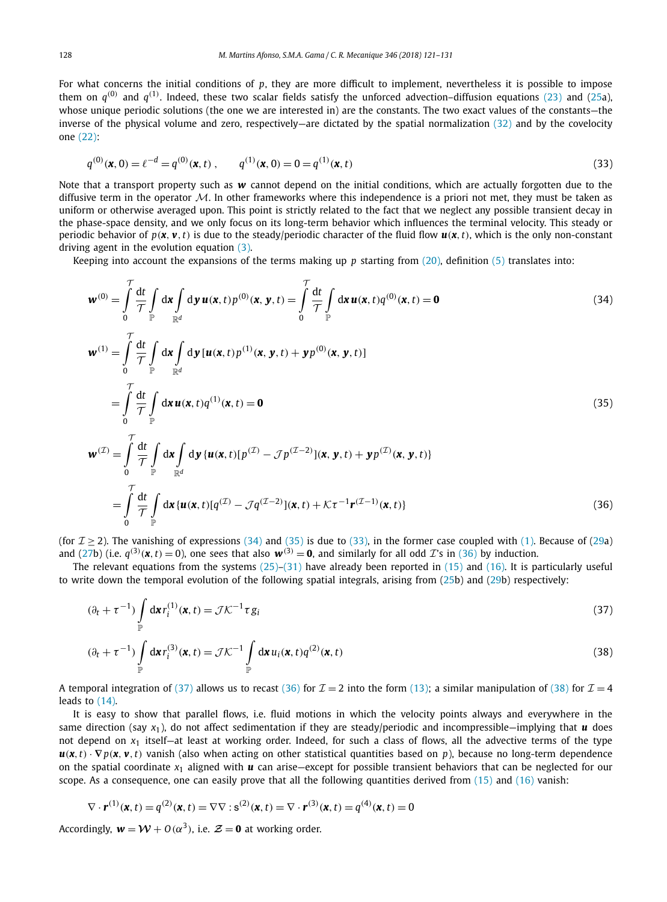For what concerns the initial conditions of *p*, they are more difficult to implement, nevertheless it is possible to impose them on  $q^{(0)}$  and  $q^{(1)}$ . Indeed, these two scalar fields satisfy the unforced advection–diffusion equations [\(23\)](#page-5-0) and [\(25a](#page-6-0)), whose unique periodic solutions (the one we are interested in) are the constants. The two exact values of the constants—the inverse of the physical volume and zero, respectively—are dictated by the spatial normalization [\(32\)](#page-6-0) and by the covelocity one [\(22\):](#page-5-0)

$$
q^{(0)}(\mathbf{x},0) = \ell^{-d} = q^{(0)}(\mathbf{x},t) , \qquad q^{(1)}(\mathbf{x},0) = 0 = q^{(1)}(\mathbf{x},t)
$$
\n(33)

Note that a transport property such as *w* cannot depend on the initial conditions, which are actually forgotten due to the diffusive term in the operator  $M$ . In other frameworks where this independence is a priori not met, they must be taken as uniform or otherwise averaged upon. This point is strictly related to the fact that we neglect any possible transient decay in the phase-space density, and we only focus on its long-term behavior which influences the terminal velocity. This steady or periodic behavior of  $p(x, y, t)$  is due to the steady/periodic character of the fluid flow  $u(x, t)$ , which is the only non-constant driving agent in the evolution equation [\(3\).](#page-2-0)

Keeping into account the expansions of the terms making up *p* starting from [\(20\),](#page-5-0) definition [\(5\)](#page-2-0) translates into:

$$
\boldsymbol{w}^{(0)} = \int_{0}^{T} \frac{dt}{\mathcal{T}} \int_{\mathbb{R}^d} d\boldsymbol{y} \, \boldsymbol{u}(\boldsymbol{x},t) p^{(0)}(\boldsymbol{x},\boldsymbol{y},t) = \int_{0}^{T} \frac{dt}{\mathcal{T}} \int_{\mathbb{R}^d} d\boldsymbol{x} \, \boldsymbol{u}(\boldsymbol{x},t) q^{(0)}(\boldsymbol{x},t) = \mathbf{0}
$$
\n(34)

$$
\mathbf{w}^{(1)} = \int_{0}^{7} \frac{dt}{\mathcal{T}} \int_{\mathbb{P}} d\mathbf{x} \int_{\mathbb{R}^d} d\mathbf{y} \left[ \mathbf{u}(\mathbf{x}, t) p^{(1)}(\mathbf{x}, \mathbf{y}, t) + \mathbf{y} p^{(0)}(\mathbf{x}, \mathbf{y}, t) \right]
$$

$$
= \int_{0}^{7} \frac{dt}{\mathcal{T}} \int_{\mathbb{P}} d\mathbf{x} \, \mathbf{u}(\mathbf{x}, t) q^{(1)}(\mathbf{x}, t) = \mathbf{0}
$$
(35)

$$
\mathbf{w}^{(\mathcal{I})} = \int_{0}^{\mathbf{d}t} \frac{dt}{\mathcal{T}} \int_{\mathbb{R}^d} d\mathbf{y} \{ \mathbf{u}(\mathbf{x}, t) [p^{(\mathcal{I})} - \mathcal{J}p^{(\mathcal{I} - 2)}](\mathbf{x}, \mathbf{y}, t) + \mathbf{y} p^{(\mathcal{I})}(\mathbf{x}, \mathbf{y}, t) \}
$$
  
\n
$$
= \int_{0}^{\mathcal{T}} \frac{dt}{\mathcal{T}} \int_{\mathbb{R}^d} d\mathbf{x} \{ \mathbf{u}(\mathbf{x}, t) [q^{(\mathcal{I})} - \mathcal{J}q^{(\mathcal{I} - 2)}](\mathbf{x}, t) + \mathcal{K}\tau^{-1} \mathbf{r}^{(\mathcal{I} - 1)}(\mathbf{x}, t) \}
$$
(36)

(for  $\mathcal{I} > 2$ ). The vanishing of expressions (34) and (35) is due to (33), in the former case coupled with [\(1\).](#page-1-0) Because of [\(29a](#page-6-0)) and [\(27b](#page-6-0)) (i.e.  $q^{(3)}(x, t) = 0$ ), one sees that also  $w^{(3)} = 0$ , and similarly for all odd T's in (36) by induction.

The relevant equations from the systems  $(25)-(31)$  have already been reported in  $(15)$  and  $(16)$ . It is particularly useful to write down the temporal evolution of the following spatial integrals, arising from [\(25b](#page-6-0)) and [\(29b](#page-6-0)) respectively:

$$
(\partial_t + \tau^{-1}) \int_{\mathbb{P}} d\mathbf{x} r_i^{(1)}(\mathbf{x}, t) = \mathcal{J} \mathcal{K}^{-1} \tau g_i
$$
\n(37)

$$
(\partial_t + \tau^{-1}) \int_{\mathbb{P}} d\mathbf{x} r_i^{(3)}(\mathbf{x}, t) = \mathcal{J} \mathcal{K}^{-1} \int_{\mathbb{P}} d\mathbf{x} u_i(\mathbf{x}, t) q^{(2)}(\mathbf{x}, t)
$$
\n(38)

A temporal integration of (37) allows us to recast (36) for  $\mathcal{I} = 2$  into the form [\(13\);](#page-3-0) a similar manipulation of (38) for  $\mathcal{I} = 4$ leads to [\(14\).](#page-4-0)

It is easy to show that parallel flows, i.e. fluid motions in which the velocity points always and everywhere in the same direction (say  $x_1$ ), do not affect sedimentation if they are steady/periodic and incompressible—implying that  $\bf{u}$  does not depend on  $x_1$  itself—at least at working order. Indeed, for such a class of flows, all the advective terms of the type  $u(x, t) \cdot \nabla p(x, y, t)$  vanish (also when acting on other statistical quantities based on p), because no long-term dependence on the spatial coordinate *x*<sup>1</sup> aligned with *u* can arise—except for possible transient behaviors that can be neglected for our scope. As a consequence, one can easily prove that all the following quantities derived from  $(15)$  and  $(16)$  vanish:

$$
\nabla \cdot \mathbf{r}^{(1)}(\mathbf{x}, t) = q^{(2)}(\mathbf{x}, t) = \nabla \nabla : \mathbf{s}^{(2)}(\mathbf{x}, t) = \nabla \cdot \mathbf{r}^{(3)}(\mathbf{x}, t) = q^{(4)}(\mathbf{x}, t) = 0
$$

Accordingly,  $\mathbf{w} = \mathbf{\mathcal{W}} + \mathbf{O}(\alpha^3)$ , i.e.  $\mathbf{\mathcal{Z}} = \mathbf{0}$  at working order.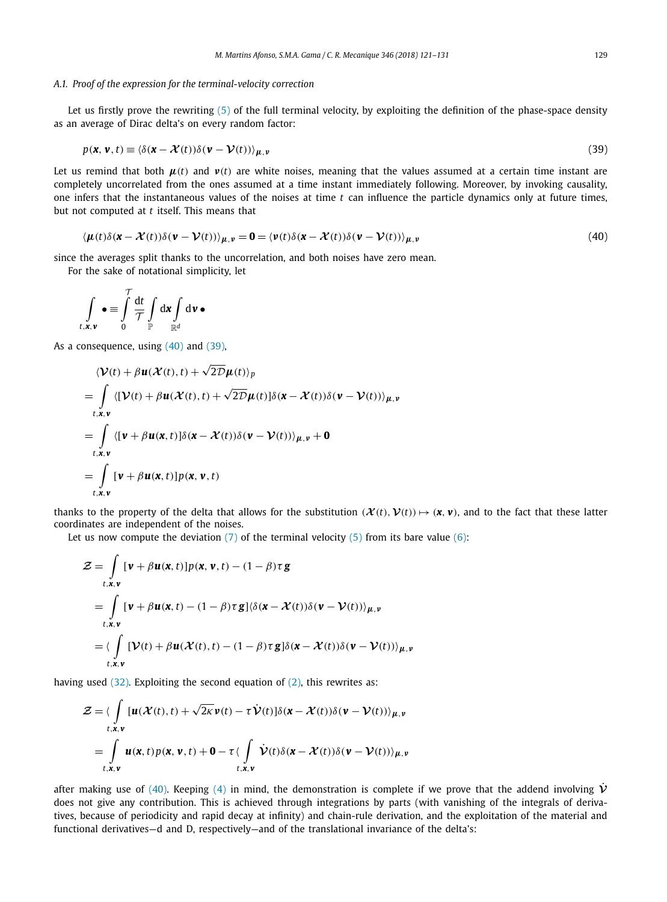#### <span id="page-8-0"></span>*A.1. Proof of the expression for the terminal-velocity correction*

Let us firstly prove the rewriting [\(5\)](#page-2-0) of the full terminal velocity, by exploiting the definition of the phase-space density as an average of Dirac delta's on every random factor:

$$
p(\mathbf{x}, \mathbf{v}, t) \equiv \langle \delta(\mathbf{x} - \mathcal{X}(t)) \delta(\mathbf{v} - \mathcal{V}(t)) \rangle_{\mu, \nu}
$$
\n(39)

Let us remind that both  $\mu(t)$  and  $\nu(t)$  are white noises, meaning that the values assumed at a certain time instant are completely uncorrelated from the ones assumed at a time instant immediately following. Moreover, by invoking causality, one infers that the instantaneous values of the noises at time *t* can influence the particle dynamics only at future times, but not computed at *t* itself. This means that

$$
\langle \mu(t)\delta(\mathbf{x} - \mathcal{X}(t))\delta(\mathbf{v} - \mathcal{V}(t))\rangle_{\mu, \nu} = \mathbf{0} = \langle \nu(t)\delta(\mathbf{x} - \mathcal{X}(t))\delta(\mathbf{v} - \mathcal{V}(t))\rangle_{\mu, \nu}
$$
\n(40)

since the averages split thanks to the uncorrelation, and both noises have zero mean.

For the sake of notational simplicity, let

$$
\int_{t,\mathbf{x},\mathbf{v}} \bullet \equiv \int\limits_0^{\mathcal{T}} \frac{\mathrm{d}t}{\mathcal{T}} \int\limits_{\mathbb{P}} \mathrm{d}\mathbf{x} \int\limits_{\mathbb{R}^d} \mathrm{d}\mathbf{v} \bullet
$$

As a consequence, using  $(40)$  and  $(39)$ ,

$$
\langle \mathcal{V}(t) + \beta \mathbf{u}(\mathcal{X}(t), t) + \sqrt{2D} \mu(t) \rangle_p
$$
  
= 
$$
\int_{t,x,v} \langle [\mathcal{V}(t) + \beta \mathbf{u}(\mathcal{X}(t), t) + \sqrt{2D} \mu(t)] \delta(\mathbf{x} - \mathcal{X}(t)) \delta(\mathbf{v} - \mathcal{V}(t)) \rangle_{\mu, v}
$$
  
= 
$$
\int_{t,x,v} \langle [\mathbf{v} + \beta \mathbf{u}(\mathbf{x}, t)] \delta(\mathbf{x} - \mathcal{X}(t)) \delta(\mathbf{v} - \mathcal{V}(t)) \rangle_{\mu, v} + \mathbf{0}
$$
  
= 
$$
\int_{t,x,v} [\mathbf{v} + \beta \mathbf{u}(\mathbf{x}, t)] p(\mathbf{x}, \mathbf{v}, t)
$$

thanks to the property of the delta that allows for the substitution  $(\mathcal{X}(t), \mathcal{V}(t)) \mapsto (\mathbf{x}, \mathbf{v})$ , and to the fact that these latter coordinates are independent of the noises.

Let us now compute the deviation  $(7)$  of the terminal velocity  $(5)$  from its bare value  $(6)$ :

$$
\mathcal{Z} = \int_{t,x,\mathbf{v}} [\mathbf{v} + \beta \mathbf{u}(\mathbf{x},t)] p(\mathbf{x},\mathbf{v},t) - (1-\beta)\tau \mathbf{g}
$$
  
\n
$$
= \int_{t,x,\mathbf{v}} [\mathbf{v} + \beta \mathbf{u}(\mathbf{x},t) - (1-\beta)\tau \mathbf{g}] \langle \delta(\mathbf{x} - \mathcal{X}(t)) \delta(\mathbf{v} - \mathcal{V}(t)) \rangle_{\mu,\nu}
$$
  
\n
$$
= \langle \int_{t,x,\mathbf{v}} [\mathcal{V}(t) + \beta \mathbf{u}(\mathcal{X}(t),t) - (1-\beta)\tau \mathbf{g}] \delta(\mathbf{x} - \mathcal{X}(t)) \delta(\mathbf{v} - \mathcal{V}(t)) \rangle_{\mu,\nu}
$$

having used  $(32)$ . Exploiting the second equation of  $(2)$ , this rewrites as:

$$
\mathcal{Z} = \langle \int_{t,x,v} [u(\mathcal{X}(t),t) + \sqrt{2\kappa} v(t) - \tau \dot{\mathcal{V}}(t)] \delta(\mathbf{x} - \mathcal{X}(t)) \delta(\mathbf{v} - \mathcal{V}(t)) \rangle_{\mu,\nu} \n= \int_{t,x,v} u(\mathbf{x},t) p(\mathbf{x},\mathbf{v},t) + \mathbf{0} - \tau \langle \int_{t,x,v} \dot{\mathcal{V}}(t) \delta(\mathbf{x} - \mathcal{X}(t)) \delta(\mathbf{v} - \mathcal{V}(t)) \rangle_{\mu,\nu}
$$

after making use of (40). Keeping [\(4\)](#page-2-0) in mind, the demonstration is complete if we prove that the addend involving  $\dot{V}$ does not give any contribution. This is achieved through integrations by parts (with vanishing of the integrals of derivatives, because of periodicity and rapid decay at infinity) and chain-rule derivation, and the exploitation of the material and functional derivatives—d and D, respectively—and of the translational invariance of the delta's: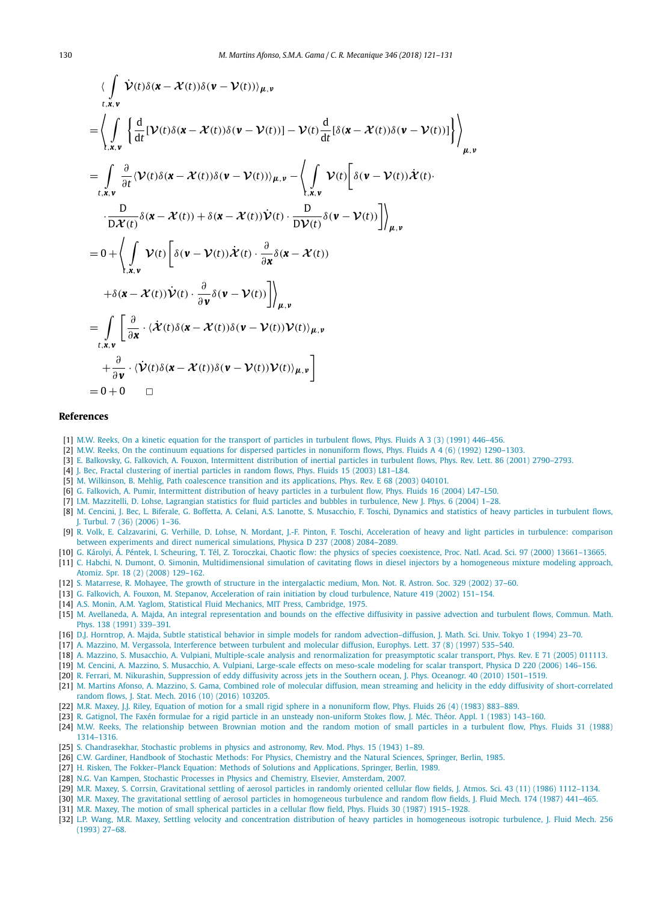<span id="page-9-0"></span>
$$
\langle \int_{t,x,v} \dot{V}(t)\delta(\mathbf{x}-\mathcal{X}(t))\delta(\mathbf{v}-V(t))\rangle_{\mu,v} \n= \left\langle \int_{t,x,v} \left\{ \frac{d}{dt} [\mathcal{V}(t)\delta(\mathbf{x}-\mathcal{X}(t))\delta(\mathbf{v}-V(t))] - \mathcal{V}(t) \frac{d}{dt} [\delta(\mathbf{x}-\mathcal{X}(t))\delta(\mathbf{v}-V(t))] \right\} \right\rangle_{\mu,v} \n= \int_{t,x,v} \frac{\partial}{\partial t} \langle \mathcal{V}(t)\delta(\mathbf{x}-\mathcal{X}(t))\delta(\mathbf{v}-V(t))\rangle_{\mu,v} - \left\langle \int_{t,x,v} \mathcal{V}(t) \left[ \delta(\mathbf{v}-V(t))\dot{\mathcal{X}}(t) \right] \cdot \frac{D}{D\mathcal{X}(t)} \delta(\mathbf{x}-\mathcal{X}(t)) + \delta(\mathbf{x}-\mathcal{X}(t))\dot{\mathcal{V}}(t) \cdot \frac{D}{D\mathcal{V}(t)} \delta(\mathbf{v}-V(t)) \right] \right\rangle_{\mu,v} \n= 0 + \left\langle \int_{t,x,v} \mathcal{V}(t) \left[ \delta(\mathbf{v}-V(t))\dot{\mathcal{X}}(t) \cdot \frac{\partial}{\partial x} \delta(\mathbf{x}-\mathcal{X}(t)) \right. \n+ \delta(\mathbf{x}-\mathcal{X}(t))\dot{\mathcal{V}}(t) \cdot \frac{\partial}{\partial v} \delta(\mathbf{v}-V(t)) \right] \right\rangle_{\mu,v} \n= \int_{t,x,v} \left[ \frac{\partial}{\partial x} \cdot \langle \dot{\mathcal{X}}(t)\delta(\mathbf{x}-\mathcal{X}(t))\delta(\mathbf{v}-V(t))\mathcal{V}(t)\rangle_{\mu,v} + \frac{\partial}{\partial v} \cdot \langle \dot{V}(t)\delta(\mathbf{x}-\mathcal{X}(t))\delta(\mathbf{v}-V(t))\mathcal{V}(t)\rangle_{\mu,v} \right] \n= 0 + 0 \quad \Box
$$

#### **References**

- [1] M.W. Reeks, On a kinetic equation for the transport of particles in [turbulent](http://refhub.elsevier.com/S1631-0721(17)30223-1/bib523930s1) flows, Phys. Fluids A 3 (3) (1991) 446–456.
- [2] M.W. Reeks, On the continuum equations for dispersed particles in [nonuniform](http://refhub.elsevier.com/S1631-0721(17)30223-1/bib523932s1) flows, Phys. Fluids A 4 (6) (1992) 1290–1303.
- [3] E. Balkovsky, G. Falkovich, A. Fouxon, [Intermittent](http://refhub.elsevier.com/S1631-0721(17)30223-1/bib4246463031s1) distribution of inertial particles in turbulent flows, Phys. Rev. Lett. 86 (2001) 2790–2793.
- [4] J. Bec, Fractal [clustering](http://refhub.elsevier.com/S1631-0721(17)30223-1/bib423033s1) of inertial particles in random flows, Phys. Fluids 15 (2003) L81-L84.
- [5] M. Wilkinson, B. Mehlig, Path coalescence transition and its [applications,](http://refhub.elsevier.com/S1631-0721(17)30223-1/bib574D3033s1) Phys. Rev. E 68 (2003) 040101.
- [6] G. Falkovich, A. Pumir, [Intermittent](http://refhub.elsevier.com/S1631-0721(17)30223-1/bib46503034s1) distribution of heavy particles in a turbulent flow, Phys. Fluids 16 (2004) L47–L50.
- [7] I.M. Mazzitelli, D. Lohse, Lagrangian statistics for fluid particles and bubbles in [turbulence,](http://refhub.elsevier.com/S1631-0721(17)30223-1/bib4D4C3034s1) New J. Phys. 6 (2004) 1–28.
- [8] M. Cencini, J. Bec, L. Biferale, G. Boffetta, A. Celani, A.S. Lanotte, S. [Musacchio,](http://refhub.elsevier.com/S1631-0721(17)30223-1/bib43424242434C4D543036s1) F. Toschi, Dynamics and statistics of heavy particles in turbulent flows, J. [Turbul.](http://refhub.elsevier.com/S1631-0721(17)30223-1/bib43424242434C4D543036s1) 7 (36) (2006) 1–36.
- [9] R. Volk, E. Calzavarini, G. Verhille, D. Lohse, N. Mordant, J.-F. Pinton, F. Toschi, [Acceleration](http://refhub.elsevier.com/S1631-0721(17)30223-1/bib5643564C4D50543038s1) of heavy and light particles in turbulence: comparison between [experiments](http://refhub.elsevier.com/S1631-0721(17)30223-1/bib5643564C4D50543038s1) and direct numerical simulations, Physica D 237 (2008) 2084–2089.
- [10] G. Károlyi, Á. Péntek, I. Scheuring, T. Tél, Z. Toroczkai, Chaotic flow: the physics of species coexistence, Proc. Natl. Acad. Sci. 97 (2000) [13661–13665.](http://refhub.elsevier.com/S1631-0721(17)30223-1/bib4B505354543030s1)
- [11] C. Habchi, N. Dumont, O. Simonin, [Multidimensional](http://refhub.elsevier.com/S1631-0721(17)30223-1/bib4844533038s1) simulation of cavitating flows in diesel injectors by a homogeneous mixture modeling approach, Atomiz. Spr. 18 (2) (2008) [129–162.](http://refhub.elsevier.com/S1631-0721(17)30223-1/bib4844533038s1)
- [12] S. Matarrese, R. Mohayee, The growth of structure in the [intergalactic](http://refhub.elsevier.com/S1631-0721(17)30223-1/bib4D4D3032s1) medium, Mon. Not. R. Astron. Soc. 329 (2002) 37–60.
- [13] G. Falkovich, A. Fouxon, M. Stepanov, [Acceleration](http://refhub.elsevier.com/S1631-0721(17)30223-1/bib4646533032s1) of rain initiation by cloud turbulence, Nature 419 (2002) 151–154.
- [14] A.S. Monin, A.M. Yaglom, Statistical Fluid Mechanics, MIT Press, [Cambridge,](http://refhub.elsevier.com/S1631-0721(17)30223-1/bib4D593735s1) 1975.
- [15] M. Avellaneda, A. Majda, An integral [representation](http://refhub.elsevier.com/S1631-0721(17)30223-1/bib414D3931s1) and bounds on the effective diffusivity in passive advection and turbulent flows, Commun. Math. Phys. 138 (1991) [339–391.](http://refhub.elsevier.com/S1631-0721(17)30223-1/bib414D3931s1)
- [16] D.J. Horntrop, A. Majda, Subtle statistical behavior in simple models for random [advection–diffusion,](http://refhub.elsevier.com/S1631-0721(17)30223-1/bib484D3934s1) J. Math. Sci. Univ. Tokyo 1 (1994) 23–70.
- [17] A. Mazzino, M. Vergassola, [Interference](http://refhub.elsevier.com/S1631-0721(17)30223-1/bib4D563937s1) between turbulent and molecular diffusion, Europhys. Lett. 37 (8) (1997) 535–540.
- [18] A. Mazzino, S. Musacchio, A. Vulpiani, Multiple-scale analysis and [renormalization](http://refhub.elsevier.com/S1631-0721(17)30223-1/bib4D4D563035s1) for preasymptotic scalar transport, Phys. Rev. E 71 (2005) 011113.
- [19] M. Cencini, A. Mazzino, S. [Musacchio,](http://refhub.elsevier.com/S1631-0721(17)30223-1/bib434D4D563036s1) A. Vulpiani, Large-scale effects on meso-scale modeling for scalar transport, Physica D 220 (2006) 146–156.
- [20] R. Ferrari, M. Nikurashin, [Suppression](http://refhub.elsevier.com/S1631-0721(17)30223-1/bib464E3130s1) of eddy diffusivity across jets in the Southern ocean, J. Phys. Oceanogr. 40 (2010) 1501–1519.
- [21] M. Martins Afonso, A. Mazzino, S. Gama, Combined role of molecular diffusion, mean streaming and helicity in the eddy diffusivity of [short-correlated](http://refhub.elsevier.com/S1631-0721(17)30223-1/bib4D414D473136s1) random flows, J. Stat. Mech. [2016 \(10\)](http://refhub.elsevier.com/S1631-0721(17)30223-1/bib4D414D473136s1) (2016) 103205.
- [22] M.R. Maxey, J.J. Riley, Equation of motion for a small rigid sphere in a [nonuniform](http://refhub.elsevier.com/S1631-0721(17)30223-1/bib4D523833s1) flow, Phys. Fluids 26 (4) (1983) 883–889.
- [23] R. Gatignol, The Faxén formulae for a rigid particle in an unsteady [non-uniform](http://refhub.elsevier.com/S1631-0721(17)30223-1/bib473833s1) Stokes flow, J. Méc. Théor. Appl. 1 (1983) 143–160.
- [24] M.W. Reeks, The [relationship](http://refhub.elsevier.com/S1631-0721(17)30223-1/bib523838s1) between Brownian motion and the random motion of small particles in a turbulent flow, Phys. Fluids 31 (1988) [1314–1316.](http://refhub.elsevier.com/S1631-0721(17)30223-1/bib523838s1)
- [25] S. [Chandrasekhar,](http://refhub.elsevier.com/S1631-0721(17)30223-1/bib433433s1) Stochastic problems in physics and astronomy, Rev. Mod. Phys. 15 (1943) 1–89.
- [26] C.W. Gardiner, Handbook of Stochastic Methods: For Physics, [Chemistry](http://refhub.elsevier.com/S1631-0721(17)30223-1/bib473835s1) and the Natural Sciences, Springer, Berlin, 1985.
- [27] H. Risken, The [Fokker–Planck](http://refhub.elsevier.com/S1631-0721(17)30223-1/bib523839s1) Equation: Methods of Solutions and Applications, Springer, Berlin, 1989.
- [28] N.G. Van Kampen, Stochastic Processes in Physics and Chemistry, Elsevier, [Amsterdam,](http://refhub.elsevier.com/S1631-0721(17)30223-1/bib563037s1) 2007.
- [29] M.R. Maxey, S. Corrsin, [Gravitational](http://refhub.elsevier.com/S1631-0721(17)30223-1/bib4D433836s1) settling of aerosol particles in randomly oriented cellular flow fields, J. Atmos. Sci. 43 (11) (1986) 1112–1134.
- [30] M.R. Maxey, The gravitational settling of aerosol particles in [homogeneous](http://refhub.elsevier.com/S1631-0721(17)30223-1/bib4D383761s1) turbulence and random flow fields, J. Fluid Mech. 174 (1987) 441-465.
- [31] M.R. Maxey, The motion of small spherical particles in a cellular flow field, Phys. Fluids 30 (1987) [1915–1928.](http://refhub.elsevier.com/S1631-0721(17)30223-1/bib4D383762s1)
- [32] L.P. Wang, M.R. Maxey, Settling velocity and concentration distribution of heavy particles in [homogeneous](http://refhub.elsevier.com/S1631-0721(17)30223-1/bib574D3933s1) isotropic turbulence, J. Fluid Mech. 256 (1993) [27–68.](http://refhub.elsevier.com/S1631-0721(17)30223-1/bib574D3933s1)